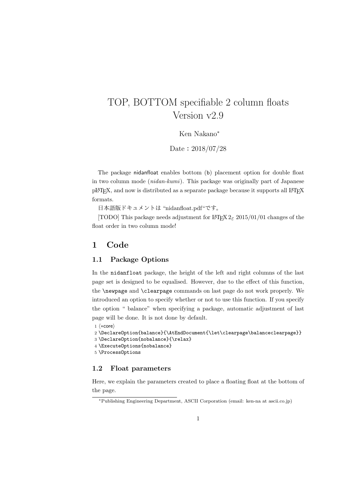# TOP, BOTTOM specifiable 2 column floats Version v2.9

Ken Nakano*<sup>∗</sup>*

Date: 2018/07/28

The package nidanfloat enables bottom (b) placement option for double float in two column mode (*nidan-kumi*). This package was originally part of Japanese pLAT<sub>EX</sub>, and now is distributed as a separate package because it supports all LAT<sub>EX</sub> formats.

日本語版ドキュメントは "nidanfloat.pdf"です。

[TODO] This package needs adjustment for LATEX 2*ε* 2015/01/01 changes of the float order in two column mode!

## **1 Code**

### **1.1 Package Options**

In the nidanfloat package, the height of the left and right columns of the last page set is designed to be equalised. However, due to the effect of this function, the \newpage and \clearpage commands on last page do not work properly. We introduced an option to specify whether or not to use this function. If you specify the option " balance" when specifying a package, automatic adjustment of last page will be done. It is not done by default.

```
1 ⟨∗core⟩
```

```
2 \DeclareOption{balance}{\AtEndDocument{\let\clearpage\balanceclearpage}}
3 \DeclareOption{nobalance}{\relax}
```
4 \ExecuteOptions{nobalance}

```
5 \ProcessOptions
```
## **1.2 Float parameters**

Here, we explain the parameters created to place a floating float at the bottom of the page.

*<sup>∗</sup>*Publishing Engineering Department, ASCII Corporation (email: ken-na at ascii.co.jp)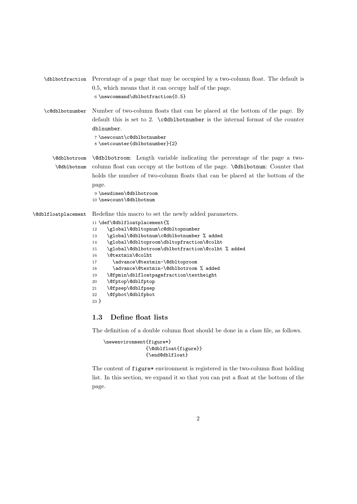| \dblbotfraction             | Percentage of a page that may be occupied by a two-column float. The default is<br>0.5, which means that it can occupy half of the page.<br>$6 \neq 6$ \newcommand\dblbotfraction{0.5}                                                                                                                                                                                                                                                                                                                                                                                |
|-----------------------------|-----------------------------------------------------------------------------------------------------------------------------------------------------------------------------------------------------------------------------------------------------------------------------------------------------------------------------------------------------------------------------------------------------------------------------------------------------------------------------------------------------------------------------------------------------------------------|
| \c@dblbotnumber             | Number of two-column floats that can be placed at the bottom of the page. By<br>default this is set to 2. $\c{ddbbotnumber}$ is the internal format of the counter<br>dblnumber.<br>7\newcount\c@dblbotnumber<br>8 \setcounter{dblbotnumber}{2}                                                                                                                                                                                                                                                                                                                       |
| \@dblbotroom<br>\@dblbotnum | <b>\@dblbotroom:</b> Length variable indicating the percentage of the page a two-<br>column float can occupy at the bottom of the page. <i>\Cablbotnum: Counter that</i><br>holds the number of two-column floats that can be placed at the bottom of the<br>page.<br>9 \newdimen\@dblbotroom<br>10 \newcount\@dblbotnum                                                                                                                                                                                                                                              |
| \@dblfloatplacement         | Redefine this macro to set the newly added parameters.<br>11 \def\@dblfloatplacement{%<br>\global\@dbltopnum\c@dbltopnumber<br>12<br>\global\@dblbotnum\c@dblbotnumber % added<br>13<br>\global\@dbltoproom\dbltopfraction\@colht<br>14<br>\global\@dblbotroom\dblbotfraction\@colht % added<br>15<br>\@textmin\@colht<br>16<br>\advance\@textmin-\@dbltoproom<br>17<br>\advance\@textmin-\@dblbotroom % added<br>18<br>\@fpmin\dblfloatpagefraction\textheight<br>19<br>\@fptop\@dblfptop<br>$20\,$<br>\@fpsep\@dblfpsep<br>21<br>\@fpbot\@dblfpbot<br>22<br>$23 \}$ |

## **1.3 Define float lists**

The definition of a double column float should be done in a class file, as follows.

```
\newenvironment{figure*}
               {\@dblfloat{figure}}
               {\end@dblfloat}
```
The content of figure\* environment is registered in the two-column float holding list. In this section, we expand it so that you can put a float at the bottom of the page.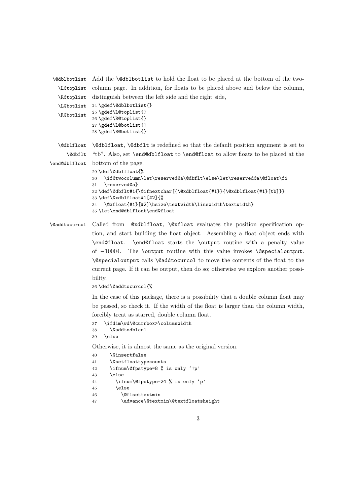```
\@dblbotlist
Add the \@dblbotlist to hold the float to be placed at the bottom of the two-
   \L@toplist
column page. In addition, for floats to be placed above and below the column,
   \R@toplist
distinguish between the left side and the right side,
   \L@botlist
24 \gdef\@dblbotlist{}
  \R@botlist
               25 \gdef\L@toplist{}
               26 \gdef\R@toplist{}
               27 \gdef\L@botlist{}
               28 \gdef\R@botlist{}
   \@dblfloat
\@dblfloat, \@dbflt is redefined so that the default position argument is set to
      \@dbflt
"tb". Also, set \end@dblfloat to \end@float to allow floats to be placed at the
\end@dblfloat
bottom of the page.
               29 \def\@dblfloat{%
               30 \if@twocolumn\let\reserved@a\@dbflt\else\let\reserved@a\@float\fi
               31 \reserved@a}
               32 \def\@dbflt#1{\@ifnextchar[{\@xdblfloat{#1}}{\@xdblfloat{#1}[tb]}}
               33 \def\@xdblfloat#1[#2]{%
               34 \@xfloat{#1}[#2]\hsize\textwidth\linewidth\textwidth}
               35 \let\end@dblfloat\end@float
```
\@addtocurcol Called from @xdblfloat, \@xfloat evaluates the position specification option, and start building the float object. Assembling a float object ends with \end@float. \end@float starts the \output routine with a penalty value of *−*10004. The \output routine with this value invokes \@specialoutput. \@specialoutput calls \@addtocurcol to move the contents of the float to the current page. If it can be output, then do so; otherwise we explore another possibility.

36 \def\@addtocurcol{%

In the case of this package, there is a possibility that a double column float may be passed, so check it. If the width of the float is larger than the column width, forcibly treat as starred, double column float.

```
37 \ifdim\wd\@currbox>\columnwidth
38 \@addtodblcol
```

```
39 \else
```
Otherwise, it is almost the same as the original version.

```
40 \@insertfalse
41 \@setfloattypecounts
42 \ifnum\@fpstype=8 % is only '!p'
43 \else
44 \ifnum\@fpstype=24 % is only 'p'
45 \else
46 \@flsettextmin
47 \advance\@textmin\@textfloatsheight
```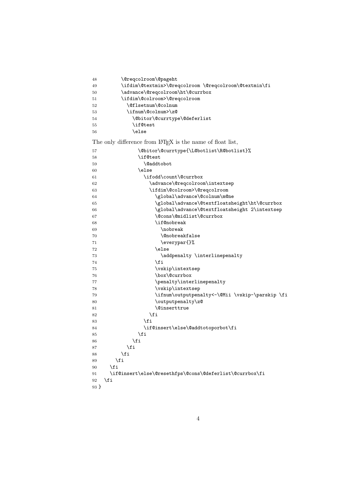| 48      | \@reqcolroom\@pageht                                                   |
|---------|------------------------------------------------------------------------|
| 49      | \ifdim\@textmin>\@reqcolroom\@reqcolroom\@textmin\fi                   |
| 50      | \advance\@reqcolroom\ht\@currbox                                       |
| 51      | \ifdim\@colroom>\@reqcolroom                                           |
| 52      | \@flsetnum\@colnum                                                     |
| 53      | \ifnum\@colnum>\z@                                                     |
| 54      | \@bitor\@currtype\@deferlist                                           |
| 55      | \if@test                                                               |
| 56      | \else                                                                  |
|         | The only difference from LAT <sub>F</sub> X is the name of float list, |
| 57      | \@bitor\@currtype{\L@botlist\R@botlist}%                               |
| 58      | \if@test                                                               |
| 59      | \@addtobot                                                             |
| 60      | \else                                                                  |
| 61      | \ifodd\count\@currbox                                                  |
| 62      | \advance\@reqcolroom\intextsep                                         |
| 63      | \ifdim\@colroom>\@reqcolroom                                           |
| 64      | \global\advance\@colnum\m@ne                                           |
| 65      | \global\advance\@textfloatsheight\ht\@currbox                          |
| 66      | \global\advance\@textfloatsheight 2\intextsep                          |
| 67      | \@cons\@midlist\@currbox                                               |
| 68      | \if@nobreak                                                            |
| 69      | \nobreak                                                               |
| 70      | <i><u><b>Onobreakfalse</b></u></i>                                     |
| 71      | \everypar{}%                                                           |
| 72      | \else                                                                  |
| 73      | \addpenalty \interlinepenalty                                          |
| 74      | \fi                                                                    |
| 75      | \vskip\intextsep                                                       |
| 76      | \box\@currbox                                                          |
| 77      | \penalty\interlinepenalty                                              |
| 78      | \vskip\intextsep                                                       |
| 79      | \ifnum\outputpenalty<-\@Mii \vskip-\parskip \fi                        |
| 80      | \outputpenalty\z@                                                      |
| 81      | <i><b>\@inserttrue</b></i>                                             |
| 82      | \fi                                                                    |
| 83      | \fi                                                                    |
| 84      | \if@insert\else\@addtotoporbot\fi                                      |
| 85      | \fi                                                                    |
| 86      | \fi                                                                    |
| 87      | \fi                                                                    |
| 88      | \fi                                                                    |
| 89      | \fi                                                                    |
| 90      | \fi                                                                    |
| 91      | \if@insert\else\@resethfps\@cons\@deferlist\@currbox\fi                |
| 92      | \fi                                                                    |
| $93 \}$ |                                                                        |
|         |                                                                        |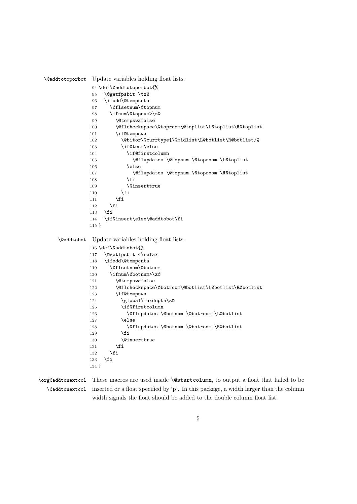```
\@addtotoporbot Update variables holding float lists.
               94 \def\@addtotoporbot{%
               95 \@getfpsbit \tw@
               96 \ifodd\@tempcnta
               97 \@flsetnum\@topnum
               98 \ifnum\@topnum>\z@
               99 \@tempswafalse
              100 \@flcheckspace\@toproom\@toplist\L@toplist\R@toplist
              101 \if@tempswa
              102 \@bitor\@currtype{\@midlist\L@botlist\R@botlist}%
              103 \if@test\else
              104 \if@firstcolumn
              105 \@flupdates \@topnum \@toproom \L@toplist
              106 \else
              107 \@flupdates \@topnum \@toproom \R@toplist
              108 \qquad \qquad \int fi
              109 \@inserttrue
              110 \overrightarrow{fi}111 \fi
              112 \fi
              113 \overrightarrow{fi}114 \if@insert\else\@addtobot\fi
              115 }
    \@addtobot Update variables holding float lists.
              116 \def\@addtobot{%
              117 \@getfpsbit 4\relax
              118 \ifodd\@tempcnta
              119 \@flsetnum\@botnum
              120 \ifnum\@botnum>\z@
              121 \@tempswafalse
              122 \@flcheckspace\@botroom\@botlist\L@botlist\R@botlist
              123 \if@tempswa
              124 \global\maxdepth\z@
              125 \if@firstcolumn
              126 \@flupdates \@botnum \@botroom \L@botlist
              127 \else
              128 \@flupdates \@botnum \@botroom \R@botlist
              129 \quad \text{If}130 \@inserttrue
              131 \setminusfi
              132 \fi
              133 \fi
              134 }
```
\org@addtonextcol These macros are used inside \@startcolumn, to output a float that failed to be \@addtonextcol inserted or a float specified by 'p'. In this package, a width larger than the column width signals the float should be added to the double column float list.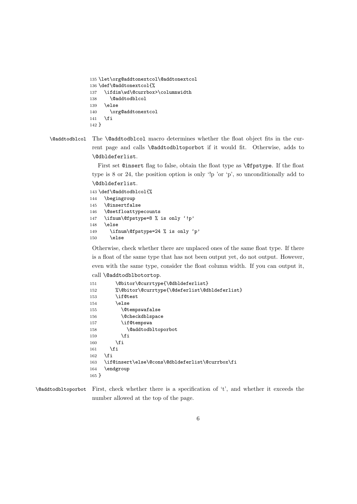```
135 \let\org@addtonextcol\@addtonextcol
136 \def\@addtonextcol{%
137 \ifdim\wd\@currbox>\columnwidth
138 \@addtodblcol
139 \else
140 \org@addtonextcol
141 \fi
142 }
```
\@addtodblcol The \@addtodblcol macro determines whether the float object fits in the current page and calls \@addtodbltoporbot if it would fit. Otherwise, adds to \@dbldeferlist.

> First set @insert flag to false, obtain the float type as \@fpstype. If the float type is 8 or 24, the position option is only '!p 'or 'p', so unconditionally add to \@dbldeferlist.

```
143 \def\@addtodblcol{%
144 \begingroup
145 \@insertfalse
146 \@setfloattypecounts
147 \ifnum\@fpstype=8 % is only '!p'
148 \else
149 \ifnum\@fpstype=24 % is only 'p'
150 \else
```
Otherwise, check whether there are unplaced ones of the same float type. If there is a float of the same type that has not been output yet, do not output. However, even with the same type, consider the float column width. If you can output it,

```
call \@addtodblbotortop.
```

```
151 \@bitor\@currtype{\@dbldeferlist}
152 %\@bitor\@currtype{\@deferlist\@dbldeferlist}
153 \if@test
154 \else
155 \@tempswafalse
156 \@checkdblspace
157 \if@tempswa
158 \@addtodbltoporbot
159 \fi
160 \overrightarrow{fi}161 \overrightarrow{fi}162 \fi
163 \if@insert\else\@cons\@dbldeferlist\@currbox\fi
164 \endgroup
165 }
```

```
\@addtodbltoporbot First, check whether there is a specification of 't', and whether it exceeds the
                    number allowed at the top of the page.
```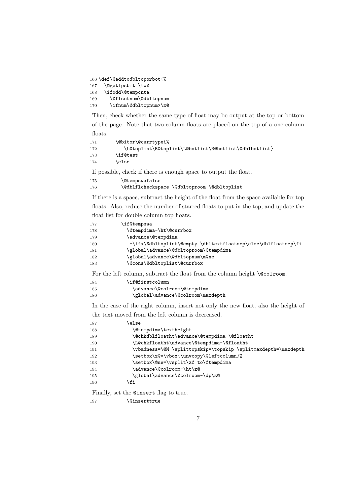\def\@addtodbltoporbot{% \@getfpsbit \tw@ \ifodd\@tempcnta \@flsetnum\@dbltopnum \ifnum\@dbltopnum>\z@

Then, check whether the same type of float may be output at the top or bottom of the page. Note that two-column floats are placed on the top of a one-column floats.

```
171 \@bitor\@currtype{%
172 \L@toplist\R@toplist\L@botlist\R@botlist\@dblbotlist}
173 \if@test
174 \text{le}
```
If possible, check if there is enough space to output the float.

```
175 \@tempswafalse
176 \@dblflcheckspace \@dbltoproom \@dbltoplist
```
If there is a space, subtract the height of the float from the space available for top floats. Also, reduce the number of starred floats to put in the top, and update the

float list for double column top floats.

| 177 | \if@tempswa                                                   |
|-----|---------------------------------------------------------------|
| 178 | \@tempdima-\ht\@currbox                                       |
| 179 | \advance\@tempdima                                            |
| 180 | -\ifx\@dbltoplist\@empty \dbltextfloatsep\else\dblfloatsep\fi |
| 181 | \global\advance\@dbltoproom\@tempdima                         |
| 182 | \global\advance\@dbltopnum\m@ne                               |
| 183 | \@cons\@dbltoplist\@currbox                                   |

For the left column, subtract the float from the column height **\@colroom**.

| 184 | \if@firstcolumn                   |
|-----|-----------------------------------|
| 185 | \advance\@colroom\@tempdima       |
| 186 | \global\advance\@colroom\maxdepth |

In the case of the right column, insert not only the new float, also the height of the text moved from the left column is decreased.

| 187 | else                                                          |
|-----|---------------------------------------------------------------|
| 188 | \@tempdima\textheight                                         |
| 189 | \@chkdblfloatht\advance\@tempdima-\@floatht                   |
| 190 | \L@chkfloatht\advance\@tempdima-\@floatht                     |
| 191 | \vbadness=\@M \splittopskip=\topskip \splitmaxdepth=\maxdepth |
| 192 | \setbox\z@=\vbox{\unvcopy\@leftcolumn}%                       |
| 193 | \setbox\@ne=\vsplit\z@ to\@tempdima                           |
| 194 | \advance\@colroom-\ht\z@                                      |
| 195 | \global\advance\@colroom-\dp\z@                               |
| 196 | \fi                                                           |
|     |                                                               |

Finally, set the @insert flag to true.

197 \@inserttrue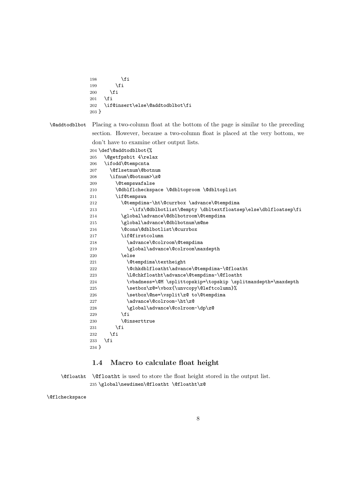```
198 \overrightarrow{fi}199 \qquad \qquad \int fi
200 \overrightarrow{f}201 \fi
202 \if@insert\else\@addtodblbot\fi
203 }
```
\@addtodblbot Placing a two-column float at the bottom of the page is similar to the preceding section. However, because a two-column float is placed at the very bottom, we don't have to examine other output lists.

|         | 204 \def\@addtodblbot{%                                       |
|---------|---------------------------------------------------------------|
| 205     | \@getfpsbit 4\relax                                           |
| 206     | \ifodd\@tempcnta                                              |
| 207     | \@flsetnum\@botnum                                            |
| 208     | \ifnum\@botnum>\z@                                            |
| 209     | <i><b>\@tempswafalse</b></i>                                  |
| 210     | \@dblflcheckspace \@dbltoproom \@dbltoplist                   |
| 211     | \if@tempswa                                                   |
| 212     | \@tempdima-\ht\@currbox \advance\@tempdima                    |
| 213     | -\ifx\@dblbotlist\@empty \dbltextfloatsep\else\dblfloatsep\fi |
| 214     | \global\advance\@dblbotroom\@tempdima                         |
| 215     | \global\advance\@dblbotnum\m@ne                               |
| 216     | \@cons\@dblbotlist\@currbox                                   |
| 217     | \if@firstcolumn                                               |
| 218     | \advance\@colroom\@tempdima                                   |
| 219     | \global\advance\@colroom\maxdepth                             |
| 220     | \else                                                         |
| 221     | \@tempdima\textheight                                         |
| 222     | \@chkdblfloatht\advance\@tempdima-\@floatht                   |
| 223     | \L@chkfloatht\advance\@tempdima-\@floatht                     |
| 224     | \vbadness=\@M \splittopskip=\topskip \splitmaxdepth=\maxdepth |
| 225     | \setbox\z@=\vbox{\unvcopy\@leftcolumn}%                       |
| 226     | \setbox\@ne=\vsplit\z@ to\@tempdima                           |
| 227     | \advance\@colroom-\ht\z@                                      |
| 228     | \global\advance\@colroom-\dp\z@                               |
| 229     | \fi                                                           |
| 230     | <i><u><b>N</b>einserttrue</u></i>                             |
| 231     | \fi                                                           |
| 232     | \fi                                                           |
| 233     | \fi                                                           |
| $234$ } |                                                               |

## **1.4 Macro to calculate float height**

\@floatht \@floatht is used to store the float height stored in the output list. \global\newdimen\@floatht \@floatht\z@

\@flcheckspace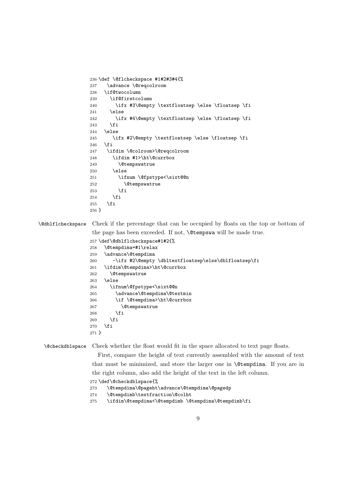```
236 \def \@flcheckspace #1#2#3#4{%
237 \advance \@reqcolroom
238 \if@twocolumn
239 \if@firstcolumn
240 \ifx #3\@empty \textfloatsep \else \floatsep \fi
241 \else
242 \ifx #4\@empty \textfloatsep \else \floatsep \fi
243 \fi
244 \else
245 \ifx #2\@empty \textfloatsep \else \floatsep \fi
246 \fi
247 \ifdim \@colroom>\@reqcolroom
248 \ifdim #1>\ht\@currbox
249 \Ctempswatrue
250 \qquad \text{leless}251 \ifnum \@fpstype<\sixt@@n
252 \@tempswatrue
253 \setminusfi
254 \fi
255 \fi
256 }
```
\@dblflcheckspace Check if the percentage that can be occupied by floats on the top or bottom of the page has been exceeded. If not, \@tempswa will be made true.

```
257 \def\@dblflcheckspace#1#2{%
258 \@tempdima=#1\relax
259 \advance\@tempdima
260 -\ifx #2\@empty \dbltextfloatsep\else\dblfloatsep\fi
261 \ifdim\@tempdima>\ht\@currbox
262 \@tempswatrue
263 \else
264 \ifnum\@fpstype<\sixt@@n
265 \advance\@tempdima\@textmin
266 \if \@tempdima>\ht\@currbox
267 \@tempswatrue
268 \setminusfi
269 \setminusfi
270 \setminusfi
271 }
```
\@checkdblspace Check whether the float would fit in the space allocated to text page floats.

First, compare the height of text currently assembled with the amount of text that must be minimized, and store the larger one in \@tempdima. If you are in the right column, also add the height of the text in the left column.

\def\@checkdblspace{%

\@tempdima\@pageht\advance\@tempdima\@pagedp

- \@tempdimb\textfraction\@colht
- \ifdim\@tempdima<\@tempdimb \@tempdima\@tempdimb\fi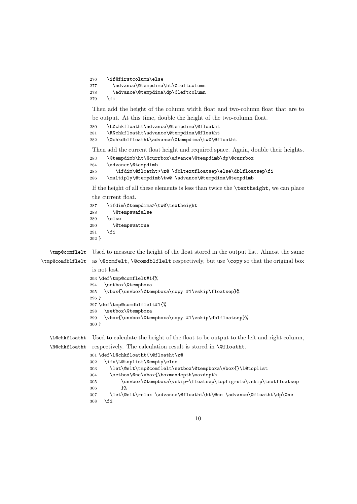```
276 \if@firstcolumn\else
277 \advance\@tempdima\ht\@leftcolumn
278 \advance\@tempdima\dp\@leftcolumn
279 \fi
```
Then add the height of the column width float and two-column float that are to

be output. At this time, double the height of the two-column float.

\L@chkfloatht\advance\@tempdima\@floatht

\R@chkfloatht\advance\@tempdima\@floatht

\@chkdblfloatht\advance\@tempdima\tw@\@floatht

Then add the current float height and required space. Again, double their heights.

```
283 \@tempdimb\ht\@currbox\advance\@tempdimb\dp\@currbox
284 \advance\@tempdimb
285 \ifdim\@floatht>\z@ \dbltextfloatsep\else\dblfloatsep\fi
286 \multiply\@tempdimb\tw@ \advance\@tempdima\@tempdimb
```
If the height of all these elements is less than twice the \textheight, we can place the current float.

```
287 \ifdim\@tempdima>\tw@\textheight<br>288 \@tempswafalse
          \@tempswafalse
289 \else
290 \@tempswatrue
291 \setminusfi
292 }
```
\tmp@comflelt Used to measure the height of the float stored in the output list. Almost the same

```
\tmp@comdblflelt
as \@comfelt, \@comdblflelt respectively, but use \copy so that the original box
                  is not lost.
                 293 \def\tmp@comflelt#1{%
                 294 \setbox\@tempboxa
                 295 \vbox{\unvbox\@tempboxa\copy #1\vskip\floatsep}%
                 296 }
                 297 \def\tmp@comdblflelt#1{%
                 298 \setbox\@tempboxa
                 299 \vbox{\unvbox\@tempboxa\copy #1\vskip\dblfloatsep}%
```
}

\L@chkfloatht Used to calculate the height of the float to be output to the left and right column, \R@chkfloatht respectively. The calculation result is stored in \@floatht.

```
301 \def\L@chkfloatht{\@floatht\z@
302 \ifx\L@toplist\@empty\else
303 \let\@elt\tmp@comflelt\setbox\@tempboxa\vbox{}\L@toplist
304 \setbox\@ne\vbox{\boxmaxdepth\maxdepth
305 \unvbox\@tempboxa\vskip-\floatsep\topfigrule\vskip\textfloatsep
306 } }307 \let\@elt\relax \advance\@floatht\ht\@ne \advance\@floatht\dp\@ne
308 \fi
```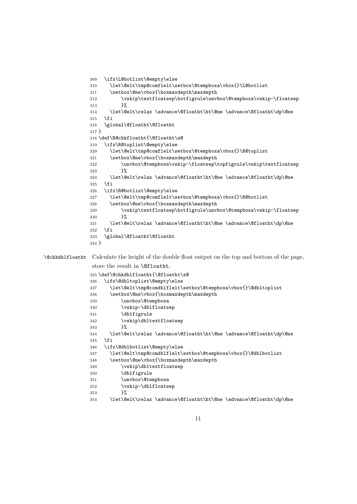```
309 \ifx\L@botlist\@empty\else
               310 \let\@elt\tmp@comflelt\setbox\@tempboxa\vbox{}\L@botlist
               311 \setbox\@ne\vbox{\boxmaxdepth\maxdepth
               312 \vskip\textfloatsep\botfigrule\unvbox\@tempboxa\vskip-\floatsep
               313 \frac{1}{8}314 \let\@elt\relax \advance\@floatht\ht\@ne \advance\@floatht\dp\@ne
               315 \text{ } \text{ } \text{ } 31316 \global\@floatht\@floatht
               317 }
               318 \def\R@chkfloatht{\@floatht\z@
               319 \ifx\R@toplist\@empty\else
               320 \let\@elt\tmp@comflelt\setbox\@tempboxa\vbox{}\R@toplist
               321 \setbox\@ne\vbox{\boxmaxdepth\maxdepth
               322 \unvbox\@tempboxa\vskip-\floatsep\topfigrule\vskip\textfloatsep
               323 \frac{1}{2}324 \let\@elt\relax \advance\@floatht\ht\@ne \advance\@floatht\dp\@ne
               325 \fi
               326 \ifx\R@botlist\@empty\else
               327 \let\@elt\tmp@comflelt\setbox\@tempboxa\vbox{}\R@botlist
               328 \setbox\@ne\vbox{\boxmaxdepth\maxdepth
               329 \vskip\textfloatsep\botfigrule\unvbox\@tempboxa\vskip-\floatsep
               330 }%
               331 \let\@elt\relax \advance\@floatht\ht\@ne \advance\@floatht\dp\@ne
               332 \fi
               333 \global\@floatht\@floatht
               334 }
\@chkdblfloatht Calculate the height of the double float output on the top and bottom of the page,
                store the result in \@floatht.
               335 \def\@chkdblfloatht{\@floatht\z@
               336 \ifx\@dbltoplist\@empty\else
               337 \let\@elt\tmp@comdblflelt\setbox\@tempboxa\vbox{}\@dbltoplist
               338 \setbox\@ne\vbox{\boxmaxdepth\maxdepth
               339 \unvbox\@tempboxa
               340 \vskip-\dblfloatsep
               341 \dblfigrule
               342 \vskip\dbltextfloatsep
               343 }%
```

```
11
```
\let\@elt\relax \advance\@floatht\ht\@ne \advance\@floatht\dp\@ne

\let\@elt\relax \advance\@floatht\ht\@ne \advance\@floatht\dp\@ne

\let\@elt\tmp@comdblflelt\setbox\@tempboxa\vbox{}\@dblbotlist

\fi

\ifx\@dblbotlist\@empty\else

349 \vskip\dbltextfloatsep

 \dblfigrule \unvbox\@tempboxa 352 \vskip-\dblfloatsep

}%

348 \setbox\@ne\vbox{\boxmaxdepth\maxdepth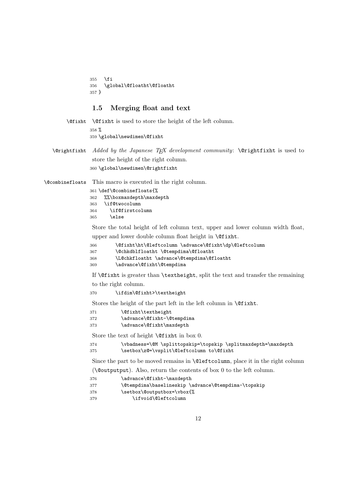\fi \global\@floatht\@floatht }

## **1.5 Merging float and text**

| \Considerations the left column. |
|----------------------------------|
| 358 $%$                          |
| 359 \global\newdimen\@fixht      |

\@rightfixht *Added by the Japanese TEX development community*: \@rightfixht is used to store the height of the right column. \global\newdimen\@rightfixht

\@combinefloats This macro is executed in the right column.

|     | 361 \def\@combinefloats{% |
|-----|---------------------------|
| 362 | %%\boxmaxdepth\maxdepth   |
| 363 | \if@twocolumn             |
| 364 | \if@firstcolumn           |
| 365 | \else                     |
|     |                           |

Store the total height of left column text, upper and lower column width float, upper and lower double column float height in **\@fixht**.

```
366 \@fixht\ht\@leftcolumn \advance\@fixht\dp\@leftcolumn
367 \@chkdblfloatht \@tempdima\@floatht
368 \L@chkfloatht \advance\@tempdima\@floatht
369 \advance\@fixht\@tempdima
```
If \@fixht is greater than \textheight, split the text and transfer the remaining to the right column.

```
370 \ifdim\@fixht>\textheight
```
Stores the height of the part left in the left column in **\@fixht**.

| 371 | \@fixht\textheight         |
|-----|----------------------------|
| 372 | \advance\@fixht-\@tempdima |

| 373 | \advance\@fixht\maxdepth |  |
|-----|--------------------------|--|
|     |                          |  |

Store the text of height **\@fixht** in box 0.

| 374 | \vbadness=\@M \splittopskip=\topskip \splitmaxdepth=\maxdepth |
|-----|---------------------------------------------------------------|
| 375 | \setbox\z@=\vsplit\@leftcolumn to\@fixht                      |

Since the part to be moved remains in **\@leftcolumn**, place it in the right column

(\@outputput). Also, return the contents of box 0 to the left column.

- \advance\@fixht-\maxdepth
- 377 \@tempdima\baselineskip \advance\@tempdima-\topskip
- 378 \setbox\@outputbox=\vbox{%
- \ifvoid\@leftcolumn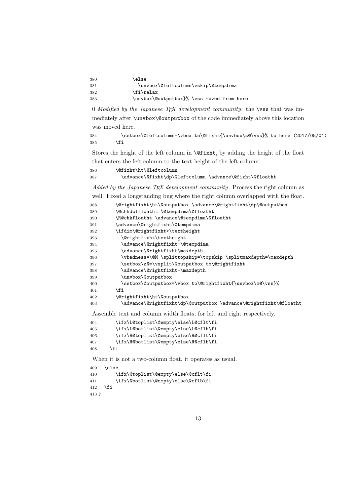| 380 | \else                                     |
|-----|-------------------------------------------|
| 381 | \unvbox\@leftcolumn\vskip\@tempdima       |
| 382 | \fi\relax                                 |
| 383 | \unvbox\@outputbox}% \vss moved from here |

 *Modified by the Japanese TEX development community*: the \vss that was immediately after \unvbox\@outputbox of the code immediately above this location was moved here.

```
384 \setbox\@leftcolumn=\vbox to\@fixht{\unvbox\z@\vss}% to here (2017/05/01)
385 \fi
```
Stores the height of the left column in \@fixht, by adding the height of the float that enters the left column to the text height of the left column.

```
386 \@fixht\ht\@leftcolumn
387 \advance\@fixht\dp\@leftcolumn \advance\@fixht\@floatht
```
*Added by the Japanese T<sub>E</sub>X development community*: Process the right column as

|     | well. Fixed a longstanding bug where the right column overlapped with the float. |
|-----|----------------------------------------------------------------------------------|
| 388 | \@rightfixht\ht\@outputbox \advance\@rightfixht\dp\@outputbox                    |
| 389 | \@chkdblfloatht \@tempdima\@floatht                                              |
| 390 | \R@chkfloatht \advance\@tempdima\@floatht                                        |
| 391 | \advance\@rightfixht\@tempdima                                                   |
| 392 | \ifdim\@rightfixht>\textheight                                                   |
| 393 | \@rightfixht\textheight                                                          |
| 394 | \advance\@rightfixht-\@tempdima                                                  |
| 395 | \advance\@rightfixht\maxdepth                                                    |
| 396 | \vbadness=\@M \splittopskip=\topskip \splitmaxdepth=\maxdepth                    |
| 397 | \setbox\z@=\vsplit\@outputbox to\@rightfixht                                     |
| 398 | \advance\@rightfixht-\maxdepth                                                   |
| 399 | \unvbox\@outputbox                                                               |
| 400 | \setbox\@outputbox=\vbox to\@rightfixht{\unvbox\z@\vss}%                         |
| 401 | <b>\fi</b>                                                                       |
| 402 | \@rightfixht\ht\@outputbox                                                       |
| 403 | \advance\@rightfixht\dp\@outputbox \advance\@rightfixht\@floatht                 |
|     |                                                                                  |

Assemble text and column width floats, for left and right respectively.

```
404 \ifx\L@toplist\@empty\else\L@cflt\fi
405 \ifx\L@botlist\@empty\else\L@cflb\fi
406 \ifx\R@toplist\@empty\else\R@cflt\fi
407 \ifx\R@botlist\@empty\else\R@cflb\fi
408 \fi
```
When it is not a two-column float, it operates as usual.

```
409 \else
410 \ifx\@toplist\@empty\else\@cflt\fi
411 \ifx\@botlist\@empty\else\@cflb\fi
412 \overrightarrow{fi}413 }
```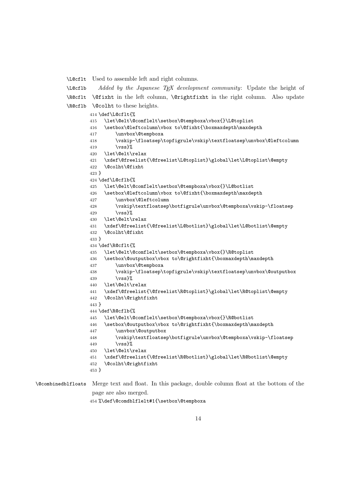\L@cflt Used to assemble left and right columns.

\L@cflb \R@cflt \@fixht in the left column, \@rightfixht in the right column. Also update \R@cflb \@colht to these heights. *Added by the Japanese TEX development community*: Update the height of

```
414 \def\L@cflt{%
                  415 \let\@elt\@comflelt\setbox\@tempboxa\vbox{}\L@toplist
                  416 \setbox\@leftcolumn\vbox to\@fixht{\boxmaxdepth\maxdepth
                  417 \unvbox\@tempboxa
                  418 \vskip-\floatsep\topfigrule\vskip\textfloatsep\unvbox\@leftcolumn
                  419 \forallvss}%
                  420 \let\@elt\relax
                  421 \xdef\@freelist{\@freelist\L@toplist}\global\let\L@toplist\@empty
                  422 \@colht\@fixht
                  423 }
                  424 \def\L@cflb{%
                  425 \let\@elt\@comflelt\setbox\@tempboxa\vbox{}\L@botlist
                  426 \setbox\@leftcolumn\vbox to\@fixht{\boxmaxdepth\maxdepth
                  427 \unvbox\@leftcolumn
                  428 \vskip\textfloatsep\botfigrule\unvbox\@tempboxa\vskip-\floatsep
                  429 \quad \text{Vss}430 \let\@elt\relax
                  431 \xdef\@freelist{\@freelist\L@botlist}\global\let\L@botlist\@empty
                  432 \@colht\@fixht
                  433 }
                  434 \def\R@cflt{%
                  435 \let\@elt\@comflelt\setbox\@tempboxa\vbox{}\R@toplist
                  436 \setbox\@outputbox\vbox to\@rightfixht{\boxmaxdepth\maxdepth
                  437 \unvbox\@tempboxa
                  438 \vskip-\floatsep\topfigrule\vskip\textfloatsep\unvbox\@outputbox
                  439 \text{ Vss}440 \let\@elt\relax
                  441 \xdef\@freelist{\@freelist\R@toplist}\global\let\R@toplist\@empty
                  442 \@colht\@rightfixht
                  443 }
                  444 \def\R@cflb{%
                  445 \let\@elt\@comflelt\setbox\@tempboxa\vbox{}\R@botlist
                  446 \setbox\@outputbox\vbox to\@rightfixht{\boxmaxdepth\maxdepth
                  447 \unvbox\@outputbox
                  448 \vskip\textfloatsep\botfigrule\unvbox\@tempboxa\vskip-\floatsep
                  449 \forallvss}%
                  450 \let\@elt\relax
                  451 \xdef\@freelist{\@freelist\R@botlist}\global\let\R@botlist\@empty
                  452 \@colht\@rightfixht
                  453 }
\@combinedblfloats Merge text and float. In this package, double column float at the bottom of the
```
page are also merged.

```
454 %\def\@comdblflelt#1{\setbox\@tempboxa
```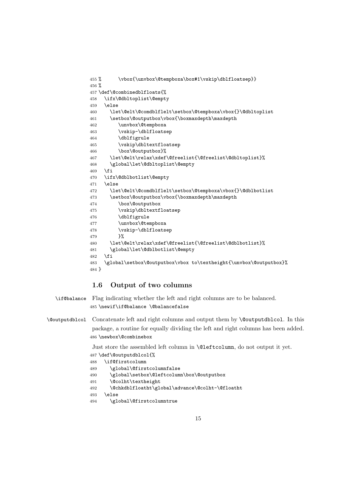```
455 % \vbox{\unvbox\@tempboxa\box#1\vskip\dblfloatsep}}
456 %
457 \def\@combinedblfloats{%
458 \ifx\@dbltoplist\@empty
459 \else
460 \let\@elt\@comdblflelt\setbox\@tempboxa\vbox{}\@dbltoplist
461 \setbox\@outputbox\vbox{\boxmaxdepth\maxdepth
462 \unvbox\@tempboxa
463 \vskip-\dblfloatsep
464 \dblfigrule
465 \vskip\dbltextfloatsep
466 \box\@outputbox}%
467 \let\@elt\relax\xdef\@freelist{\@freelist\@dbltoplist}%
468 \global\let\@dbltoplist\@empty
469 \fi
470 \ifx\@dblbotlist\@empty
471 \else
472 \let\@elt\@comdblflelt\setbox\@tempboxa\vbox{}\@dblbotlist
473 \setbox\@outputbox\vbox{\boxmaxdepth\maxdepth
474 \box\@outputbox
475 \vskip\dbltextfloatsep
476 \dblfigrule
477 \unvbox\@tempboxa
478 \vskip-\dblfloatsep
479 }%
480 \let\@elt\relax\xdef\@freelist{\@freelist\@dblbotlist}%
481 \global\let\@dblbotlist\@empty
482 \text{ } \text{ } 15483 \global\setbox\@outputbox\vbox to\textheight{\unvbox\@outputbox}%
484 }
```
## **1.6 Output of two columns**

\if@balance Flag indicating whether the left and right columns are to be balanced. \newif\if@balance \@balancefalse

\@outputdblcol Concatenate left and right columns and output them by \@outputdblcol. In this package, a routine for equally dividing the left and right columns has been added. \newbox\@combinebox

Just store the assembled left column in \@leftcolumn, do not output it yet.

```
487 \def\@outputdblcol{%
488 \if@firstcolumn
489 \global\@firstcolumnfalse
490 \global\setbox\@leftcolumn\box\@outputbox
491 \@colht\textheight
492 \@chkdblfloatht\global\advance\@colht-\@floatht
493 \else
```

```
494 \global\@firstcolumntrue
```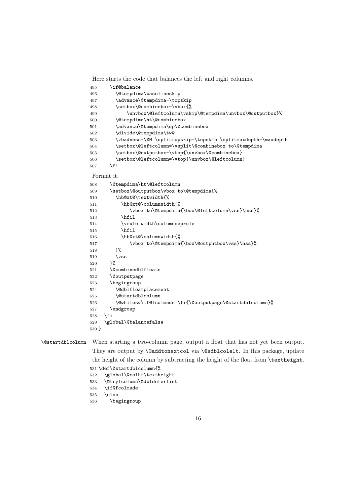Here starts the code that balances the left and right columns.

\if@balance

\@tempdima\baselineskip

- \advance\@tempdima-\topskip
- \setbox\@combinebox=\vbox{%

```
499 \unvbox\@leftcolumn\vskip\@tempdima\unvbox\@outputbox}%
```
- \@tempdima\ht\@combinebox
- \advance\@tempdima\dp\@combinebox
- \divide\@tempdima\tw@
- \vbadness=\@M \splittopskip=\topskip \splitmaxdepth=\maxdepth
- 504 \setbox\@leftcolumn=\vsplit\@combinebox to\@tempdima
- 505 \setbox\@outputbox=\vtop{\unvbox\@combinebox}
- 506 \setbox\@leftcolumn=\vtop{\unvbox\@leftcolumn} 507  $\overline{f}$

#### Format it.

| 508     | \@tempdima\ht\@leftcolumn                                |
|---------|----------------------------------------------------------|
| 509     | \setbox\@outputbox\vbox to\@tempdima{%                   |
| 510     | \hb@xt@\textwidth{%                                      |
| 511     | \hb@xt@\columnwidth{%                                    |
| 512     | \vbox to\@tempdima{\box\@leftcolumn\vss}\hss}%           |
| 513     | \hfil                                                    |
| 514     | \vrule width\columnseprule                               |
| 515     | \hfil                                                    |
| 516     | \hb@xt@\columnwidth{%                                    |
| 517     | \vbox to\@tempdima{\box\@outputbox\vss}\hss}%            |
| 518     | }‰                                                       |
| 519     | $\sqrt{vs}$                                              |
| 520     | ጉ%                                                       |
| 521     | \@combinedblfloats                                       |
| 522     | <i><u><b>Noutputpage</b></u></i>                         |
| 523     | \begingroup                                              |
| 524     | \@dblfloatplacement                                      |
| 525     | <b>\@startdblcolumn</b>                                  |
| 526     | \@whilesw\if@fcolmade \fi{\@outputpage\@startdblcolumn}% |
| 527     | \endgroup                                                |
| 528     | \fi                                                      |
| 529     | \global\@balancefalse                                    |
| $530$ } |                                                          |
|         |                                                          |

\@startdblcolumn When starting a two-column page, output a float that has not yet been output. They are output by **\@addtonextcol** via **\@sdblcolelt**. In this package, update the height of the column by subtracting the height of the float from **\textheight**.

```
531 \def\@startdblcolumn{%
532 \global\@colht\textheight
```
- \@tryfcolumn\@dbldeferlist
- \if@fcolmade
- \else
- \begingroup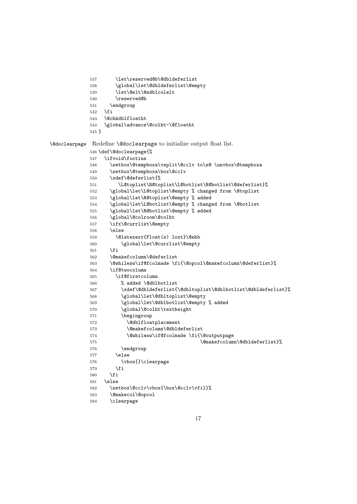```
537 \let\reserved@b\@dbldeferlist
            538 \global\let\@dbldeferlist\@empty
            539 \let\@elt\@sdblcolelt
            540 \reserved@b
            541 \endgroup
            542 \fi
            543 \@chkdblfloatht
            544 \global\advance\@colht-\@floatht
            545 }
\@doclearpage Redefine \@doclearpage to initialize output float list.
            546 \def\@doclearpage{%
            547 \ifvoid\footins
            548 \setbox\@tempboxa\vsplit\@cclv to\z@ \unvbox\@tempboxa
            549 \setbox\@tempboxa\box\@cclv
            550 \xdef\@deferlist{%
            551 \L@toplist\R@toplist\L@botlist\R@botlist\@deferlist}%
            552 \global\let\L@toplist\@empty % changed from \@toplist
            553 \global\let\R@toplist\@empty % added
            554 \global\let\L@botlist\@empty % changed from \@botlist
            555 \global\let\R@botlist\@empty % added
            556 \global\@colroom\@colht
            557 \ifx\@currlist\@empty
            558 \else
            559 \@latexerr{Float(s) lost}\@ehb
            560 \global\let\@currlist\@empty
            561 \fi
            562 \@makefcolumn\@deferlist
            563 \@whilesw\if@fcolmade \fi{\@opcol\@makefcolumn\@deferlist}%
            564 \if@twocolumn
            565 \if@firstcolumn
            566 % added \@dblbotlist
            567 \xdef\@dbldeferlist{\@dbltoplist\@dblbotlist\@dbldeferlist}%
            568 \global\let\@dbltoplist\@empty
            569 \global\let\@dblbotlist\@empty % added
            570 \global\@colht\textheight
            571 \begingroup
            572 \@dblfloatplacement
            573 \@makefcolumn\@dbldeferlist
            574 \@whilesw\if@fcolmade \fi{\@outputpage
            575 \@makefcolumn\@dbldeferlist}%
            576 \endgroup
            577 \else
            578 \vbox{}\clearpage
            579 \fi
            580 \fi
            581 \else
            582 \setbox\@cclv\vbox{\box\@cclv\vfil}%
            583 \@makecol\@opcol
            584 \clearpage
```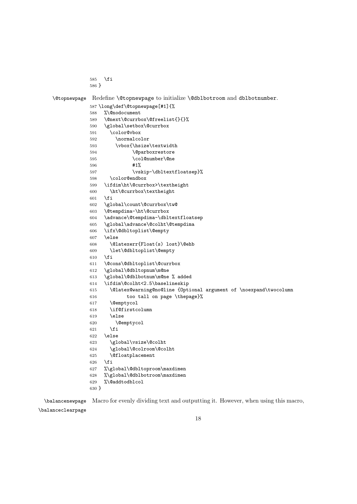```
585 \fi
```

```
586 }
```
\@topnewpage Redefine \@topnewpage to initialize \@dblbotroom and dblbotnumber.

```
587 \long\def\@topnewpage[#1]{%
588 %\@nodocument
589 \@next\@currbox\@freelist{}{}%
590 \global\setbox\@currbox
591 \color@vbox
592 \normalcolor
593 \vbox{\hsize\textwidth
594 \Qparboxrestore
595 \col@number\@ne
596 #1%
597 \vskip-\dbltextfloatsep}%
598 \color@endbox
599 \ifdim\ht\@currbox>\textheight
600 \ht\@currbox\textheight
601 \fi
602 \global\count\@currbox\tw@
603 \@tempdima-\ht\@currbox
604 \advance\@tempdima-\dbltextfloatsep
605 \global\advance\@colht\@tempdima
606 \ifx\@dbltoplist\@empty
607 \else
608 \@latexerr{Float(s) lost}\@ehb
609 \let\@dbltoplist\@empty
610 \overline{f}611 \@cons\@dbltoplist\@currbox
612 \global\@dbltopnum\m@ne
613 \global\@dblbotnum\m@ne % added
614 \ifdim\@colht<2.5\baselineskip
615 \@latex@warning@no@line {Optional argument of \noexpand\twocolumn
616 too tall on page \thepage}%
617 \@emptycol
618 \if@firstcolumn
619 \else
620 \@emptycol
621 \setminusfi
622 \else
623 \global\vsize\@colht
624 \global\@colroom\@colht
625 \@floatplacement
626 \setminusfi
627 %\global\@dbltoproom\maxdimen
628 %\global\@dblbotroom\maxdimen
629 %\@addtodblcol
630 }
```
\balancenewpage Macro for evenly dividing text and outputting it. However, when using this macro,

\balanceclearpage